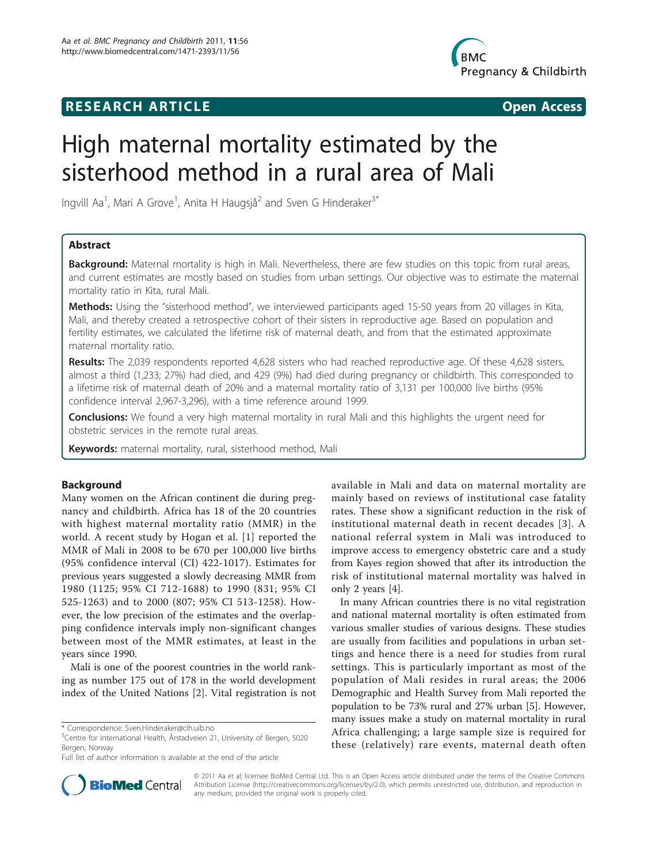# **RESEARCH ARTICLE Example 2008 CONSIDERING ACCESS**



# High maternal mortality estimated by the sisterhood method in a rural area of Mali

Ingvill Aa<sup>1</sup>, Mari A Grove<sup>1</sup>, Anita H Haugsjå<sup>2</sup> and Sven G Hinderaker<sup>3\*</sup>

# Abstract

Background: Maternal mortality is high in Mali. Nevertheless, there are few studies on this topic from rural areas, and current estimates are mostly based on studies from urban settings. Our objective was to estimate the maternal mortality ratio in Kita, rural Mali.

Methods: Using the "sisterhood method", we interviewed participants aged 15-50 years from 20 villages in Kita, Mali, and thereby created a retrospective cohort of their sisters in reproductive age. Based on population and fertility estimates, we calculated the lifetime risk of maternal death, and from that the estimated approximate maternal mortality ratio.

Results: The 2,039 respondents reported 4,628 sisters who had reached reproductive age. Of these 4,628 sisters, almost a third (1,233; 27%) had died, and 429 (9%) had died during pregnancy or childbirth. This corresponded to a lifetime risk of maternal death of 20% and a maternal mortality ratio of 3,131 per 100,000 live births (95% confidence interval 2,967-3,296), with a time reference around 1999.

**Conclusions:** We found a very high maternal mortality in rural Mali and this highlights the urgent need for obstetric services in the remote rural areas.

Keywords: maternal mortality, rural, sisterhood method, Mali

# Background

Many women on the African continent die during pregnancy and childbirth. Africa has 18 of the 20 countries with highest maternal mortality ratio (MMR) in the world. A recent study by Hogan et al. [[1\]](#page-4-0) reported the MMR of Mali in 2008 to be 670 per 100,000 live births (95% confidence interval (CI) 422-1017). Estimates for previous years suggested a slowly decreasing MMR from 1980 (1125; 95% CI 712-1688) to 1990 (831; 95% CI 525-1263) and to 2000 (807; 95% CI 513-1258). However, the low precision of the estimates and the overlapping confidence intervals imply non-significant changes between most of the MMR estimates, at least in the years since 1990.

Mali is one of the poorest countries in the world ranking as number 175 out of 178 in the world development index of the United Nations [\[2](#page-4-0)]. Vital registration is not

<sup>3</sup>Centre for International Health, Årstadveien 21, University of Bergen, 5020 Bergen, Norway

Full list of author information is available at the end of the article

available in Mali and data on maternal mortality are mainly based on reviews of institutional case fatality rates. These show a significant reduction in the risk of institutional maternal death in recent decades [[3](#page-4-0)]. A national referral system in Mali was introduced to improve access to emergency obstetric care and a study from Kayes region showed that after its introduction the risk of institutional maternal mortality was halved in only 2 years [\[4](#page-4-0)].

In many African countries there is no vital registration and national maternal mortality is often estimated from various smaller studies of various designs. These studies are usually from facilities and populations in urban settings and hence there is a need for studies from rural settings. This is particularly important as most of the population of Mali resides in rural areas; the 2006 Demographic and Health Survey from Mali reported the population to be 73% rural and 27% urban [[5\]](#page-4-0). However, many issues make a study on maternal mortality in rural Africa challenging; a large sample size is required for these (relatively) rare events, maternal death often



© 2011 Aa et al; licensee BioMed Central Ltd. This is an Open Access article distributed under the terms of the Creative Commons Attribution License [\(http://creativecommons.org/licenses/by/2.0](http://creativecommons.org/licenses/by/2.0)), which permits unrestricted use, distribution, and reproduction in any medium, provided the original work is properly cited.

<sup>\*</sup> Correspondence: [Sven.Hinderaker@cih.uib.no](mailto:Sven.Hinderaker@cih.uib.no)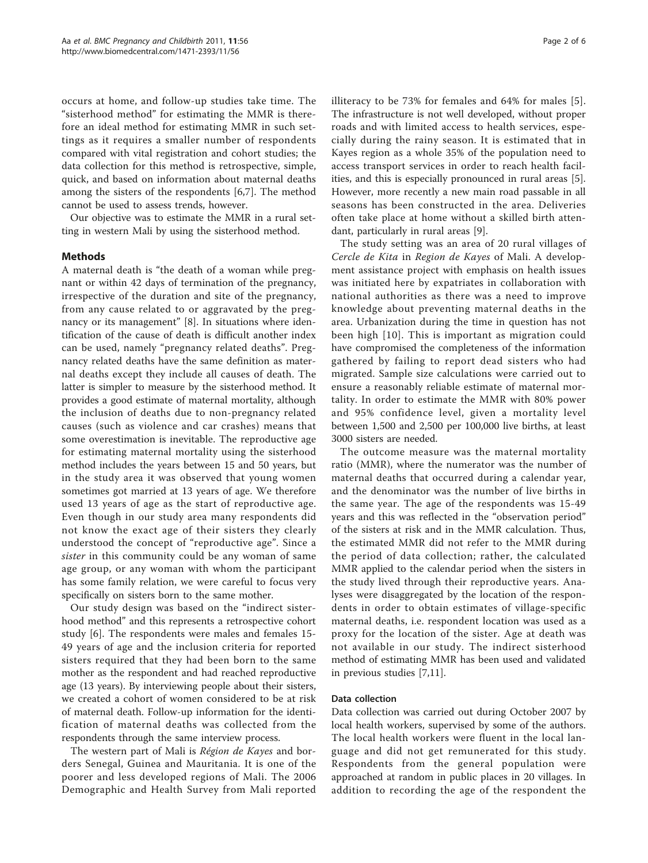occurs at home, and follow-up studies take time. The "sisterhood method" for estimating the MMR is therefore an ideal method for estimating MMR in such settings as it requires a smaller number of respondents compared with vital registration and cohort studies; the data collection for this method is retrospective, simple, quick, and based on information about maternal deaths among the sisters of the respondents [\[6](#page-4-0)[,7](#page-5-0)]. The method cannot be used to assess trends, however.

Our objective was to estimate the MMR in a rural setting in western Mali by using the sisterhood method.

## Methods

A maternal death is "the death of a woman while pregnant or within 42 days of termination of the pregnancy, irrespective of the duration and site of the pregnancy, from any cause related to or aggravated by the pregnancy or its management" [\[8](#page-5-0)]. In situations where identification of the cause of death is difficult another index can be used, namely "pregnancy related deaths". Pregnancy related deaths have the same definition as maternal deaths except they include all causes of death. The latter is simpler to measure by the sisterhood method. It provides a good estimate of maternal mortality, although the inclusion of deaths due to non-pregnancy related causes (such as violence and car crashes) means that some overestimation is inevitable. The reproductive age for estimating maternal mortality using the sisterhood method includes the years between 15 and 50 years, but in the study area it was observed that young women sometimes got married at 13 years of age. We therefore used 13 years of age as the start of reproductive age. Even though in our study area many respondents did not know the exact age of their sisters they clearly understood the concept of "reproductive age". Since a sister in this community could be any woman of same age group, or any woman with whom the participant has some family relation, we were careful to focus very specifically on sisters born to the same mother.

Our study design was based on the "indirect sisterhood method" and this represents a retrospective cohort study [[6\]](#page-4-0). The respondents were males and females 15- 49 years of age and the inclusion criteria for reported sisters required that they had been born to the same mother as the respondent and had reached reproductive age (13 years). By interviewing people about their sisters, we created a cohort of women considered to be at risk of maternal death. Follow-up information for the identification of maternal deaths was collected from the respondents through the same interview process.

The western part of Mali is Région de Kayes and borders Senegal, Guinea and Mauritania. It is one of the poorer and less developed regions of Mali. The 2006 Demographic and Health Survey from Mali reported illiteracy to be 73% for females and 64% for males [[5](#page-4-0)]. The infrastructure is not well developed, without proper roads and with limited access to health services, especially during the rainy season. It is estimated that in Kayes region as a whole 35% of the population need to access transport services in order to reach health facilities, and this is especially pronounced in rural areas [\[5](#page-4-0)]. However, more recently a new main road passable in all seasons has been constructed in the area. Deliveries often take place at home without a skilled birth attendant, particularly in rural areas [\[9](#page-5-0)].

The study setting was an area of 20 rural villages of Cercle de Kita in Region de Kayes of Mali. A development assistance project with emphasis on health issues was initiated here by expatriates in collaboration with national authorities as there was a need to improve knowledge about preventing maternal deaths in the area. Urbanization during the time in question has not been high [[10\]](#page-5-0). This is important as migration could have compromised the completeness of the information gathered by failing to report dead sisters who had migrated. Sample size calculations were carried out to ensure a reasonably reliable estimate of maternal mortality. In order to estimate the MMR with 80% power and 95% confidence level, given a mortality level between 1,500 and 2,500 per 100,000 live births, at least 3000 sisters are needed.

The outcome measure was the maternal mortality ratio (MMR), where the numerator was the number of maternal deaths that occurred during a calendar year, and the denominator was the number of live births in the same year. The age of the respondents was 15-49 years and this was reflected in the "observation period" of the sisters at risk and in the MMR calculation. Thus, the estimated MMR did not refer to the MMR during the period of data collection; rather, the calculated MMR applied to the calendar period when the sisters in the study lived through their reproductive years. Analyses were disaggregated by the location of the respondents in order to obtain estimates of village-specific maternal deaths, i.e. respondent location was used as a proxy for the location of the sister. Age at death was not available in our study. The indirect sisterhood method of estimating MMR has been used and validated in previous studies [[7,11\]](#page-5-0).

## Data collection

Data collection was carried out during October 2007 by local health workers, supervised by some of the authors. The local health workers were fluent in the local language and did not get remunerated for this study. Respondents from the general population were approached at random in public places in 20 villages. In addition to recording the age of the respondent the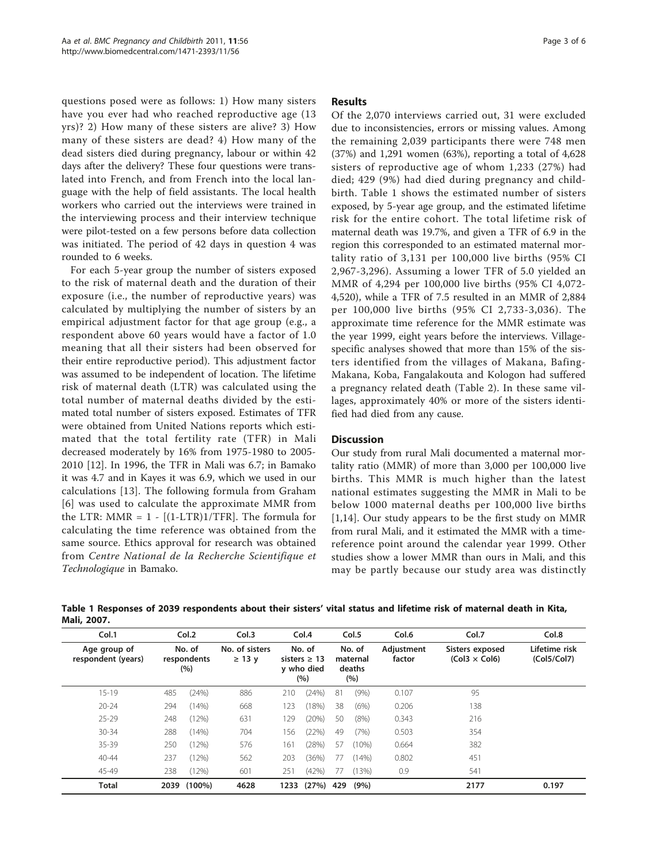questions posed were as follows: 1) How many sisters have you ever had who reached reproductive age (13 yrs)? 2) How many of these sisters are alive? 3) How many of these sisters are dead? 4) How many of the dead sisters died during pregnancy, labour or within 42 days after the delivery? These four questions were translated into French, and from French into the local language with the help of field assistants. The local health workers who carried out the interviews were trained in the interviewing process and their interview technique were pilot-tested on a few persons before data collection was initiated. The period of 42 days in question 4 was rounded to 6 weeks.

For each 5-year group the number of sisters exposed to the risk of maternal death and the duration of their exposure (i.e., the number of reproductive years) was calculated by multiplying the number of sisters by an empirical adjustment factor for that age group (e.g., a respondent above 60 years would have a factor of 1.0 meaning that all their sisters had been observed for their entire reproductive period). This adjustment factor was assumed to be independent of location. The lifetime risk of maternal death (LTR) was calculated using the total number of maternal deaths divided by the estimated total number of sisters exposed. Estimates of TFR were obtained from United Nations reports which estimated that the total fertility rate (TFR) in Mali decreased moderately by 16% from 1975-1980 to 2005- 2010 [[12\]](#page-5-0). In 1996, the TFR in Mali was 6.7; in Bamako it was 4.7 and in Kayes it was 6.9, which we used in our calculations [[13\]](#page-5-0). The following formula from Graham [[6](#page-4-0)] was used to calculate the approximate MMR from the LTR:  $MMR = 1 - [(1-LTR)1/TFR]$ . The formula for calculating the time reference was obtained from the same source. Ethics approval for research was obtained from Centre National de la Recherche Scientifique et Technologique in Bamako.

# Results

Of the 2,070 interviews carried out, 31 were excluded due to inconsistencies, errors or missing values. Among the remaining 2,039 participants there were 748 men (37%) and 1,291 women (63%), reporting a total of 4,628 sisters of reproductive age of whom 1,233 (27%) had died; 429 (9%) had died during pregnancy and childbirth. Table 1 shows the estimated number of sisters exposed, by 5-year age group, and the estimated lifetime risk for the entire cohort. The total lifetime risk of maternal death was 19.7%, and given a TFR of 6.9 in the region this corresponded to an estimated maternal mortality ratio of 3,131 per 100,000 live births (95% CI 2,967-3,296). Assuming a lower TFR of 5.0 yielded an MMR of 4,294 per 100,000 live births (95% CI 4,072- 4,520), while a TFR of 7.5 resulted in an MMR of 2,884 per 100,000 live births (95% CI 2,733-3,036). The approximate time reference for the MMR estimate was the year 1999, eight years before the interviews. Villagespecific analyses showed that more than 15% of the sisters identified from the villages of Makana, Bafing-Makana, Koba, Fangalakouta and Kologon had suffered a pregnancy related death (Table [2\)](#page-3-0). In these same villages, approximately 40% or more of the sisters identified had died from any cause.

# **Discussion**

Our study from rural Mali documented a maternal mortality ratio (MMR) of more than 3,000 per 100,000 live births. This MMR is much higher than the latest national estimates suggesting the MMR in Mali to be below 1000 maternal deaths per 100,000 live births [[1,](#page-4-0)[14\]](#page-5-0). Our study appears to be the first study on MMR from rural Mali, and it estimated the MMR with a timereference point around the calendar year 1999. Other studies show a lower MMR than ours in Mali, and this may be partly because our study area was distinctly

Table 1 Responses of 2039 respondents about their sisters' vital status and lifetime risk of maternal death in Kita, Mali, 2007.

| Col.1                              |     | Col.2                        | Col.3                         |      | Col.4                                            |     | Col.5                               | Col.6                | Col.7                                   | Col.8                        |
|------------------------------------|-----|------------------------------|-------------------------------|------|--------------------------------------------------|-----|-------------------------------------|----------------------|-----------------------------------------|------------------------------|
| Age group of<br>respondent (years) |     | No. of<br>respondents<br>(%) | No. of sisters<br>$\geq$ 13 y |      | No. of<br>sisters $\geq 13$<br>y who died<br>(%) |     | No. of<br>maternal<br>deaths<br>(%) | Adjustment<br>factor | Sisters exposed<br>$(Col3 \times Col6)$ | Lifetime risk<br>(Col5/Col7) |
| $15 - 19$                          | 485 | (24%)                        | 886                           | 210  | (24%)                                            | 81  | (9% )                               | 0.107                | 95                                      |                              |
| $20 - 24$                          | 294 | (14% )                       | 668                           | 123  | (18%)                                            | 38  | (6%)                                | 0.206                | 138                                     |                              |
| $25 - 29$                          | 248 | (12%)                        | 631                           | 129  | (20%)                                            | 50  | (8%)                                | 0.343                | 216                                     |                              |
| $30 - 34$                          | 288 | (14% )                       | 704                           | 156  | (22%)                                            | 49  | (7%)                                | 0.503                | 354                                     |                              |
| 35-39                              | 250 | (12%)                        | 576                           | 161  | (28%)                                            | 57  | $(10\%)$                            | 0.664                | 382                                     |                              |
| $40 - 44$                          | 237 | (12%)                        | 562                           | 203  | (36%)                                            | 77  | (14% )                              | 0.802                | 451                                     |                              |
| 45-49                              | 238 | (12%)                        | 601                           | 251  | (42%)                                            | 77  | (13%)                               | 0.9                  | 541                                     |                              |
| <b>Total</b>                       |     | 2039 (100%)                  | 4628                          | 1233 | (27%)                                            | 429 | (9%)                                |                      | 2177                                    | 0.197                        |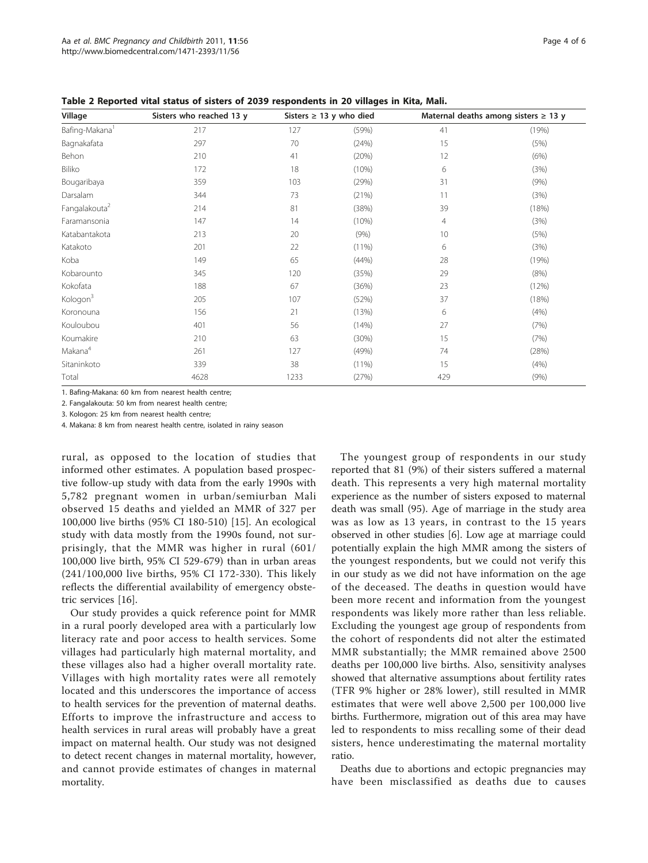| Village                    | Sisters who reached 13 y |      | Sisters $\geq$ 13 y who died | Maternal deaths among sisters $\geq 13$ y |       |  |
|----------------------------|--------------------------|------|------------------------------|-------------------------------------------|-------|--|
| Bafing-Makana <sup>1</sup> | 217                      | 127  | (59%)                        | 41                                        | (19%) |  |
| Bagnakafata                | 297                      | 70   | (24%)                        | 15                                        | (5%)  |  |
| Behon                      | 210                      | 41   | (20%)                        | 12                                        | (6% ) |  |
| Biliko                     | 172                      | 18   | (10%)                        | 6                                         | (3%)  |  |
| Bougaribaya                | 359                      | 103  | (29%)                        | 31                                        | (9% ) |  |
| Darsalam                   | 344                      | 73   | (21%)                        | 11                                        | (3%)  |  |
| Fangalakouta <sup>2</sup>  | 214                      | 81   | (38%)                        | 39                                        | (18%) |  |
| Faramansonia               | 147                      | 14   | (10%)                        | 4                                         | (3%)  |  |
| Katabantakota              | 213                      | 20   | (9% )                        | 10                                        | (5%)  |  |
| Katakoto                   | 201                      | 22   | $(11\%)$                     | 6                                         | (3%)  |  |
| Koba                       | 149                      | 65   | (44%)                        | 28                                        | (19%) |  |
| Kobarounto                 | 345                      | 120  | (35%)                        | 29                                        | (8%)  |  |
| Kokofata                   | 188                      | 67   | (36%)                        | 23                                        | (12%) |  |
| Kologon <sup>3</sup>       | 205                      | 107  | (52%)                        | 37                                        | (18%) |  |
| Koronouna                  | 156                      | 21   | (13%)                        | 6                                         | (4% ) |  |
| Kouloubou                  | 401                      | 56   | (14%)                        | 27                                        | (7% ) |  |
| Koumakire                  | 210                      | 63   | (30%)                        | 15                                        | (7%)  |  |
| Makana <sup>4</sup>        | 261                      | 127  | (49%)                        | 74                                        | (28%) |  |
| Sitaninkoto                | 339                      | 38   | $(11\%)$                     | 15                                        | (4% ) |  |
| Total                      | 4628                     | 1233 | (27%)                        | 429                                       | (9% ) |  |

<span id="page-3-0"></span>Table 2 Reported vital status of sisters of 2039 respondents in 20 villages in Kita, Mali.

1. Bafing-Makana: 60 km from nearest health centre;

2. Fangalakouta: 50 km from nearest health centre;

3. Kologon: 25 km from nearest health centre;

4. Makana: 8 km from nearest health centre, isolated in rainy season

rural, as opposed to the location of studies that informed other estimates. A population based prospective follow-up study with data from the early 1990s with 5,782 pregnant women in urban/semiurban Mali observed 15 deaths and yielded an MMR of 327 per 100,000 live births (95% CI 180-510) [[15\]](#page-5-0). An ecological study with data mostly from the 1990s found, not surprisingly, that the MMR was higher in rural (601/ 100,000 live birth, 95% CI 529-679) than in urban areas (241/100,000 live births, 95% CI 172-330). This likely reflects the differential availability of emergency obstetric services [\[16](#page-5-0)].

Our study provides a quick reference point for MMR in a rural poorly developed area with a particularly low literacy rate and poor access to health services. Some villages had particularly high maternal mortality, and these villages also had a higher overall mortality rate. Villages with high mortality rates were all remotely located and this underscores the importance of access to health services for the prevention of maternal deaths. Efforts to improve the infrastructure and access to health services in rural areas will probably have a great impact on maternal health. Our study was not designed to detect recent changes in maternal mortality, however, and cannot provide estimates of changes in maternal mortality.

The youngest group of respondents in our study reported that 81 (9%) of their sisters suffered a maternal death. This represents a very high maternal mortality experience as the number of sisters exposed to maternal death was small (95). Age of marriage in the study area was as low as 13 years, in contrast to the 15 years observed in other studies [[6\]](#page-4-0). Low age at marriage could potentially explain the high MMR among the sisters of the youngest respondents, but we could not verify this in our study as we did not have information on the age of the deceased. The deaths in question would have been more recent and information from the youngest respondents was likely more rather than less reliable. Excluding the youngest age group of respondents from the cohort of respondents did not alter the estimated MMR substantially; the MMR remained above 2500 deaths per 100,000 live births. Also, sensitivity analyses showed that alternative assumptions about fertility rates (TFR 9% higher or 28% lower), still resulted in MMR estimates that were well above 2,500 per 100,000 live births. Furthermore, migration out of this area may have led to respondents to miss recalling some of their dead sisters, hence underestimating the maternal mortality ratio.

Deaths due to abortions and ectopic pregnancies may have been misclassified as deaths due to causes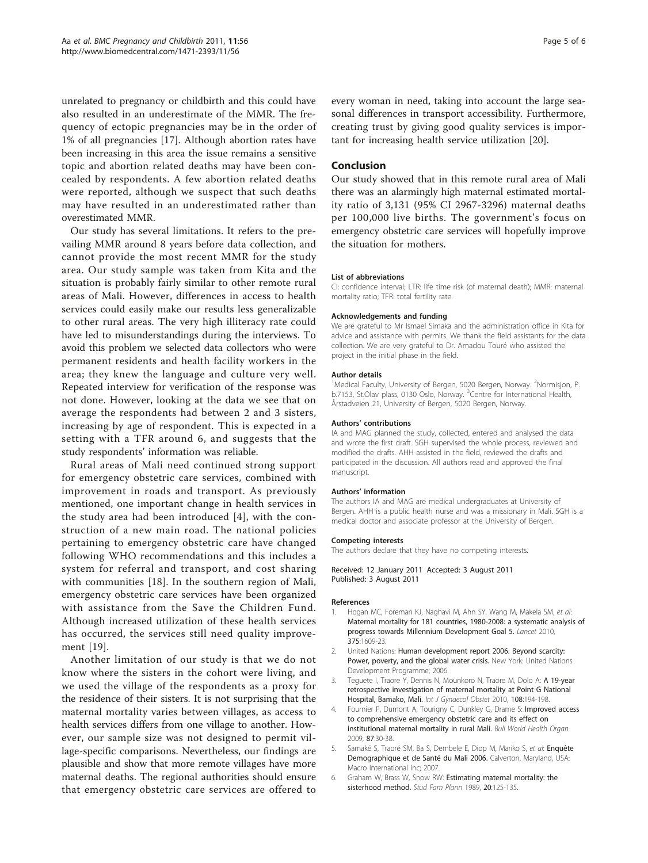<span id="page-4-0"></span>unrelated to pregnancy or childbirth and this could have also resulted in an underestimate of the MMR. The frequency of ectopic pregnancies may be in the order of 1% of all pregnancies [[17\]](#page-5-0). Although abortion rates have been increasing in this area the issue remains a sensitive topic and abortion related deaths may have been concealed by respondents. A few abortion related deaths were reported, although we suspect that such deaths may have resulted in an underestimated rather than overestimated MMR.

Our study has several limitations. It refers to the prevailing MMR around 8 years before data collection, and cannot provide the most recent MMR for the study area. Our study sample was taken from Kita and the situation is probably fairly similar to other remote rural areas of Mali. However, differences in access to health services could easily make our results less generalizable to other rural areas. The very high illiteracy rate could have led to misunderstandings during the interviews. To avoid this problem we selected data collectors who were permanent residents and health facility workers in the area; they knew the language and culture very well. Repeated interview for verification of the response was not done. However, looking at the data we see that on average the respondents had between 2 and 3 sisters, increasing by age of respondent. This is expected in a setting with a TFR around 6, and suggests that the study respondents' information was reliable.

Rural areas of Mali need continued strong support for emergency obstetric care services, combined with improvement in roads and transport. As previously mentioned, one important change in health services in the study area had been introduced [4], with the construction of a new main road. The national policies pertaining to emergency obstetric care have changed following WHO recommendations and this includes a system for referral and transport, and cost sharing with communities [\[18](#page-5-0)]. In the southern region of Mali, emergency obstetric care services have been organized with assistance from the Save the Children Fund. Although increased utilization of these health services has occurred, the services still need quality improvement [[19\]](#page-5-0).

Another limitation of our study is that we do not know where the sisters in the cohort were living, and we used the village of the respondents as a proxy for the residence of their sisters. It is not surprising that the maternal mortality varies between villages, as access to health services differs from one village to another. However, our sample size was not designed to permit village-specific comparisons. Nevertheless, our findings are plausible and show that more remote villages have more maternal deaths. The regional authorities should ensure that emergency obstetric care services are offered to every woman in need, taking into account the large seasonal differences in transport accessibility. Furthermore, creating trust by giving good quality services is important for increasing health service utilization [[20](#page-5-0)].

### Conclusion

Our study showed that in this remote rural area of Mali there was an alarmingly high maternal estimated mortality ratio of 3,131 (95% CI 2967-3296) maternal deaths per 100,000 live births. The government's focus on emergency obstetric care services will hopefully improve the situation for mothers.

#### List of abbreviations

CI: confidence interval; LTR: life time risk (of maternal death); MMR: maternal mortality ratio; TFR: total fertility rate.

#### Acknowledgements and funding

We are grateful to Mr Ismael Simaka and the administration office in Kita for advice and assistance with permits. We thank the field assistants for the data collection. We are very grateful to Dr. Amadou Touré who assisted the project in the initial phase in the field.

#### Author details

<sup>1</sup>Medical Faculty, University of Bergen, 5020 Bergen, Norway. <sup>2</sup>Normisjon, P. b.7153, St.Olav plass, 0130 Oslo, Norway. <sup>3</sup>Centre for International Health Årstadveien 21, University of Bergen, 5020 Bergen, Norway.

#### Authors' contributions

IA and MAG planned the study, collected, entered and analysed the data and wrote the first draft. SGH supervised the whole process, reviewed and modified the drafts. AHH assisted in the field, reviewed the drafts and participated in the discussion. All authors read and approved the final manuscript.

#### Authors' information

The authors IA and MAG are medical undergraduates at University of Bergen. AHH is a public health nurse and was a missionary in Mali. SGH is a medical doctor and associate professor at the University of Bergen.

#### Competing interests

The authors declare that they have no competing interests.

Received: 12 January 2011 Accepted: 3 August 2011 Published: 3 August 2011

#### References

- Hogan MC, Foreman KJ, Naghavi M, Ahn SY, Wang M, Makela SM, et al: [Maternal mortality for 181 countries, 1980-2008: a systematic analysis of](http://www.ncbi.nlm.nih.gov/pubmed/20382417?dopt=Abstract) [progress towards Millennium Development Goal 5.](http://www.ncbi.nlm.nih.gov/pubmed/20382417?dopt=Abstract) Lancet 2010, 375:1609-23.
- 2. United Nations: Human development report 2006. Beyond scarcity: Power, poverty, and the global water crisis. New York: United Nations Development Programme; 2006.
- 3. Teguete I, Traore Y, Dennis N, Mounkoro N, Traore M, Dolo A: [A 19-year](http://www.ncbi.nlm.nih.gov/pubmed/19944419?dopt=Abstract) [retrospective investigation of maternal mortality at Point G National](http://www.ncbi.nlm.nih.gov/pubmed/19944419?dopt=Abstract) [Hospital, Bamako, Mali.](http://www.ncbi.nlm.nih.gov/pubmed/19944419?dopt=Abstract) Int J Gynaecol Obstet 2010, 108:194-198.
- 4. Fournier P, Dumont A, Tourigny C, Dunkley G, Drame S: [Improved access](http://www.ncbi.nlm.nih.gov/pubmed/19197402?dopt=Abstract) [to comprehensive emergency obstetric care and its effect on](http://www.ncbi.nlm.nih.gov/pubmed/19197402?dopt=Abstract) [institutional maternal mortality in rural Mali.](http://www.ncbi.nlm.nih.gov/pubmed/19197402?dopt=Abstract) Bull World Health Organ 2009, 87:30-38.
- 5. Samaké S, Traoré SM, Ba S, Dembele E, Diop M, Mariko S, et al: Enquête Demographique et de Santé du Mali 2006. Calverton, Maryland, USA: Macro International Inc; 2007.
- 6. Graham W, Brass W, Snow RW: [Estimating maternal mortality: the](http://www.ncbi.nlm.nih.gov/pubmed/2734809?dopt=Abstract) [sisterhood method.](http://www.ncbi.nlm.nih.gov/pubmed/2734809?dopt=Abstract) Stud Fam Plann 1989, 20:125-135.